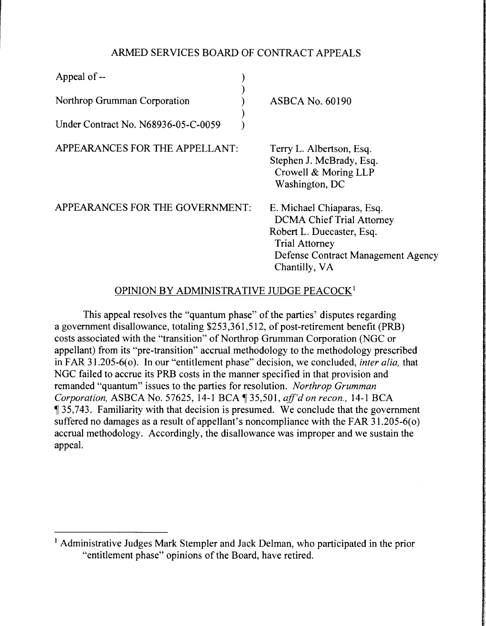## ARMED SERVICES BOARD OF CONTRACT APPEALS

| Appeal of --                        |                                                                                                                                                                             |
|-------------------------------------|-----------------------------------------------------------------------------------------------------------------------------------------------------------------------------|
| Northrop Grumman Corporation        | <b>ASBCA No. 60190</b>                                                                                                                                                      |
| Under Contract No. N68936-05-C-0059 |                                                                                                                                                                             |
| APPEARANCES FOR THE APPELLANT:      | Terry L. Albertson, Esq.<br>Stephen J. McBrady, Esq.<br>Crowell & Moring LLP<br>Washington, DC                                                                              |
| APPEARANCES FOR THE GOVERNMENT:     | E. Michael Chiaparas, Esq.<br><b>DCMA Chief Trial Attorney</b><br>Robert L. Duecaster, Esq.<br><b>Trial Attorney</b><br>Defense Contract Management Agency<br>Chantilly, VA |

# OPINION BY ADMINISTRATIVE JUDGE PEACOCK <sup>1</sup>

This appeal resolves the "quantum phase" of the parties' disputes regarding a government disallowance, totaling \$253,361,512, of post-retirement benefit (PRB) costs associated with the "transition" of Northrop Grumman Corporation (NGC or appellant) from its "pre-transition" accrual methodology to the methodology prescribed in FAR 31.205-6(o). In our "entitlement phase" decision, we concluded, *inter alia*, that NGC failed to accrue its PRB costs in the manner specified in that provision and remanded "quantum" issues to the parties for resolution. *Northrop Grumman Corporation, ASBCA No. 57625, 14-1 BCA* 135,501, *aff'd on recon., 14-1 BCA*  $\frac{1}{35,743}$ . Familiarity with that decision is presumed. We conclude that the government suffered no damages as a result of appellant's noncompliance with the FAR  $31.205-6(0)$ accrual methodology. Accordingly, the disallowance was improper and we sustain the appeal.

<sup>&</sup>lt;sup>1</sup> Administrative Judges Mark Stempler and Jack Delman, who participated in the prior "entitlement phase" opinions of the Board, have retired.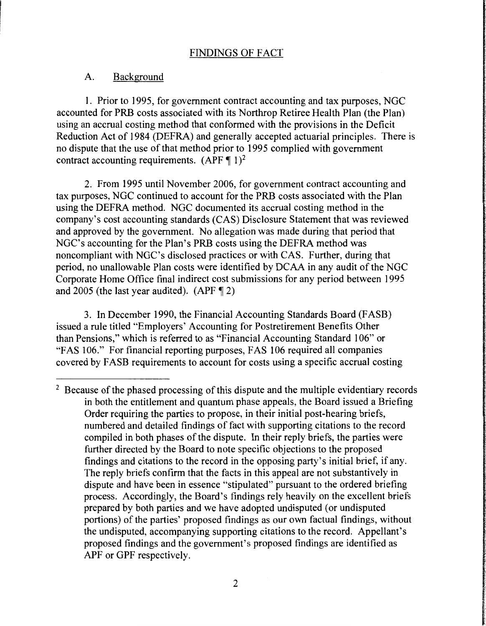### A. Background

1. Prior to 1995, for government contract accounting and tax purposes, NGC accounted for PRB costs associated with its Northrop Retiree Health Plan (the Plan) using an accrual costing method that conformed with the provisions in the Deficit Reduction Act of 1984 (DEFRA) and generally accepted actuarial principles. There is no dispute that the use of that method prior to 1995 complied with government contract accounting requirements.  $(APF \P 1)^2$ 

2. From 1995 until November 2006, for government contract accounting and tax purposes, NGC continued to account for the PRB costs associated with the Plan using the DEFRA method. NGC documented its accrual costing method in the company's cost accounting standards (CAS) Disclosure Statement that was reviewed and approved by the government. No allegation was made during that period that NGC's accounting for the Plan's PRB costs using the DEFRA method was noncompliant with NGC's disclosed practices or with CAS. Further, during that period, no unallowable Plan costs were identified by DCAA in any audit of the NGC Corporate Home Office final indirect cost submissions for any period between 1995 and 2005 (the last year audited).  $(APF \P 2)$ 

3. In December 1990, the Financial Accounting Standards Board (FASB) issued a rule titled "Employers' Accounting for Postretirement Benefits Other than Pensions," which is referred to as "Financial Accounting Standard 106" or "FAS 106." For financial reporting purposes, FAS 106 required all companies covered by F ASB requirements to account for costs using a specific accrual costing

 $2^2$  Because of the phased processing of this dispute and the multiple evidentiary records in both the entitlement and quantum phase appeals, the Board issued a Briefing Order requiring the parties to propose, in their initial post-hearing briefs, numbered and detailed findings of fact with supporting citations to the record compiled in both phases of the dispute. In their reply briefs, the parties were further directed by the Board to note specific objections to the proposed findings and citations to the record in the opposing party's initial brief, if any. The reply briefs confirm that the facts in this appeal are not substantively in dispute and have been in essence "stipulated" pursuant to the ordered briefing process. Accordingly, the Board's findings rely heavily on the excellent briefs prepared by both parties and we have adopted undisputed (or undisputed portions) of the parties' proposed findings as our own factual findings, without the undisputed, accompanying supporting citations to the record. Appellant's proposed findings and the government's proposed findings are identified as APF or GPF respectively.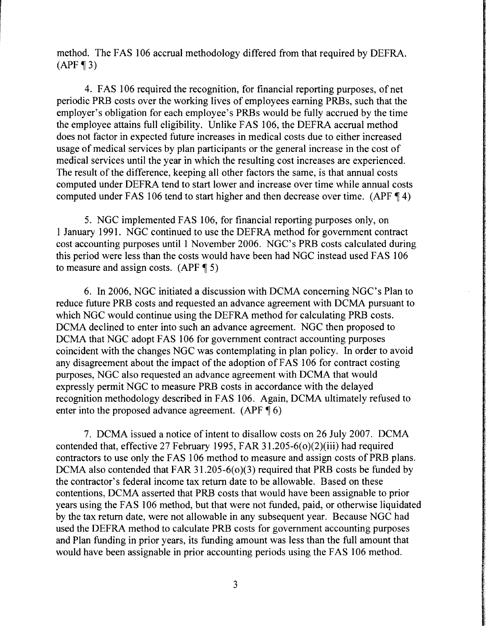method. The FAS 106 accrual methodology differed from that required by DEFRA.  $(APF \P 3)$ 

4. FAS 106 required the recognition, for financial reporting purposes, of net periodic PRB costs over the working lives of employees earning PRBs, such that the employer's obligation for each employee's PRBs would be fully accrued by the time the employee attains full eligibility. Unlike FAS 106, the DEFRA accrual method does not factor in expected future increases in medical costs due to either increased usage of medical services by plan participants or the general increase in the cost of medical services until the year in which the resulting cost increases are experienced. The result of the difference, keeping all other factors the same, is that annual costs computed under DEFRA tend to start lower and increase over time while annual costs computed under FAS 106 tend to start higher and then decrease over time. (APF  $\P$  4)

5. NGC implemented FAS 106, for financial reporting purposes only, on 1 January 1991. NGC continued to use the DEFRA method for government contract cost accounting purposes until 1 November 2006. NGC's PRB costs calculated during this period were less than the costs would have been had NGC instead used FAS 106 to measure and assign costs.  $(APF \P 5)$ 

6. In 2006, NGC initiated a discussion with DCMA concerning NGC's Plan to reduce future PRB costs and requested an advance agreement with DCMA pursuant to which NGC would continue using the DEFRA method for calculating PRB costs. DCMA declined to enter into such an advance agreement. NGC then proposed to DCMA that NGC adopt FAS 106 for government contract accounting purposes coincident with the changes NGC was contemplating in plan policy. In order to avoid any disagreement about the impact of the adoption of FAS 106 for contract costing purposes, NGC also requested an advance agreement with DCMA that would expressly permit NGC to measure PRB costs in accordance with the delayed recognition methodology described in FAS 106. Again, DCMA ultimately refused to enter into the proposed advance agreement.  $(APF \P 6)$ 

7. DCMA issued a notice of intent to disallow costs on 26 July 2007. DCMA contended that, effective 27 February 1995, FAR 31.205-6( $o$ )( $2$ )(iii) had required contractors to use only the FAS 106 method to measure and assign costs of PRB plans. DCMA also contended that FAR 31.205-6( $o$ )(3) required that PRB costs be funded by the contractor's federal income tax return date to be allowable. Based on these contentions, DCMA asserted that PRB costs that would have been assignable to prior years using the FAS 106 method, but that were not funded, paid, or otherwise liquidated by the tax return date, were not allowable in any subsequent year. Because NGC had used the DEFRA method to calculate PRB costs for government accounting purposes and Plan funding in prior years, its funding amount was less than the full amount that would have been assignable in prior accounting periods using the FAS 106 method.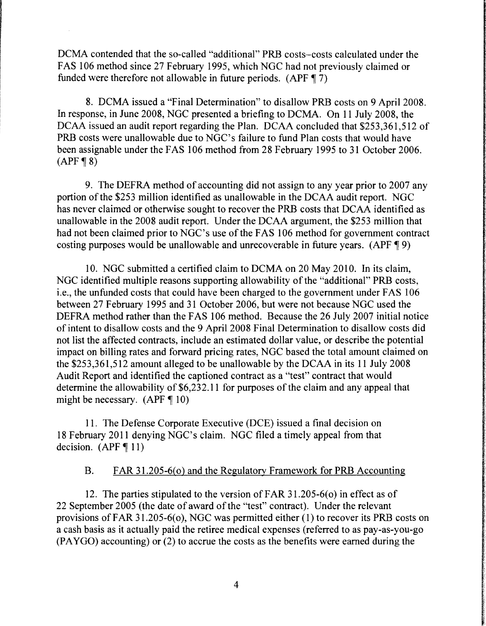DCMA contended that the so-called "additional" PRB costs-costs calculated under the FAS 106 method since 27 February 1995, which NGC had not previously claimed or funded were therefore not allowable in future periods. (APF  $\P$  7)

8. DCMA issued a "Final Determination" to disallow PRB costs on 9 April 2008. In response, in June 2008, NGC presented a briefing to DCMA. On 11 July 2008, the DCAA issued an audit report regarding the Plan. DCAA concluded that \$253,361,512 of PRB costs were unallowable due to NGC's failure to fund Plan costs that would have been assignable under the FAS 106 method from 28 February 1995 to 31 October 2006.  $(APF \P 8)$ 

9. The DEFRA method of accounting did not assign to any year prior to 2007 any portion of the \$253 million identified as unallowable in the DCAA audit report. NGC has never claimed or otherwise sought to recover the PRB costs that DCAA identified as unallowable in the 2008 audit report. Under the DCAA argument, the \$253 million that had not been claimed prior to NGC's use of the FAS 106 method for government contract costing purposes would be unallowable and unrecoverable in future years. (APF  $\P$ 9)

10. NGC submitted a certified claim to DCMA on 20 May 2010. In its claim, NGC identified multiple reasons supporting allowability of the "additional" PRB costs, i.e., the unfunded costs that could have been charged to the government under FAS 106 between 27 February 1995 and 31 October 2006, but were not because NGC used the DEFRA method rather than the FAS 106 method. Because the 26 July 2007 initial notice of intent to disallow costs and the 9 April 2008 Final Determination to disallow costs did not list the affected contracts, include an estimated dollar value, or describe the potential impact on billing rates and forward pricing rates, NGC based the total amount claimed on the  $$253,361,512$  amount alleged to be unallowable by the DCAA in its 11 July 2008 Audit Report and identified the captioned contract as a "test" contract that would determine the allowability of \$6,232.11 for purposes of the claim and any appeal that might be necessary.  $(APF \P 10)$ 

11. The Defense Corporate Executive (DCE) issued a final decision on 18 February 2011 denying NGC's claim. NGC filed a timely appeal from that decision.  $(APF \P 11)$ 

## B. FAR 31.205-6(0) and the Regulatory Framework for PRB Accounting

12. The parties stipulated to the version of FAR 31.205-6(0) in effect as of 22 September 2005 (the date of award of the "test" contract). Under the relevant provisions of FAR 31.205-6(0), NGC was permitted either (1) to recover its PRB costs on a cash basis as it actually paid the retiree medical expenses (referred to as pay-as-you-go (PA YGO) accounting) or (2) to accrue the costs as the benefits were earned during the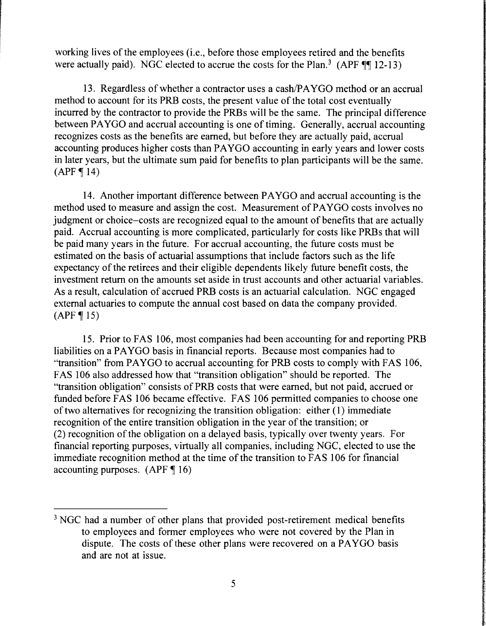working lives of the employees (i.e., before those employees retired and the benefits were actually paid). NGC elected to accrue the costs for the Plan.<sup>3</sup> (APF  $\P\P$  12-13)

13. Regardless of whether a contractor uses a cash/PAYGO method or an accrual method to account for its PRB costs, the present value of the total cost eventually incurred by the contractor to provide the PRBs will be the same. The principal difference between PA YGO and accrual accounting is one of timing. Generally, accrual accounting recognizes costs as the benefits are earned, but before they are actually paid, accrual accounting produces higher costs than PA YGO accounting in early years and lower costs in later years, but the ultimate sum paid for benefits to plan participants will be the same.  $(APF \, 14)$ 

14. Another important difference between PAYGO and accrual accounting is the method used to measure and assign the cost. Measurement of PA YGO costs involves no judgment or choice-costs are recognized equal to the amount of benefits that are actually paid. Accrual accounting is more complicated, particularly for costs like PRBs that will be paid many years in the future. For accrual accounting, the future costs must be estimated on the basis of actuarial assumptions that include factors such as the life expectancy of the retirees and their eligible dependents likely future benefit costs, the investment return on the amounts set aside in trust accounts and other actuarial variables. As a result, calculation of accrued PRB costs is an actuarial calculation. NGC engaged external actuaries to compute the annual cost based on data the company provided.  $(APF \, 15)$ 

15. Prior to FAS 106, most companies had been accounting for and reporting PRB liabilities on a PA YGO basis in financial reports. Because most companies had to "transition" from PA YGO to accrual accounting for PRB costs to comply with FAS 106, FAS 106 also addressed how that "transition obligation" should be reported. The "transition obligation" consists of PRB costs that were earned, but not paid, accrued or funded before FAS 106 became effective. FAS 106 permitted companies to choose one of two alternatives for recognizing the transition obligation: either (1) immediate recognition of the entire transition obligation in the year of the transition; or (2) recognition of the obligation on a delayed basis, typically over twenty years. For financial reporting purposes, virtually all companies, including NGC, elected to use the immediate recognition method at the time of the transition to FAS 106 for financial accounting purposes.  $(APF \P 16)$ 

<sup>&</sup>lt;sup>3</sup> NGC had a number of other plans that provided post-retirement medical benefits to employees and former employees who were not covered by the Plan in dispute. The costs of these other plans were recovered on a PAYGO basis and are not at issue.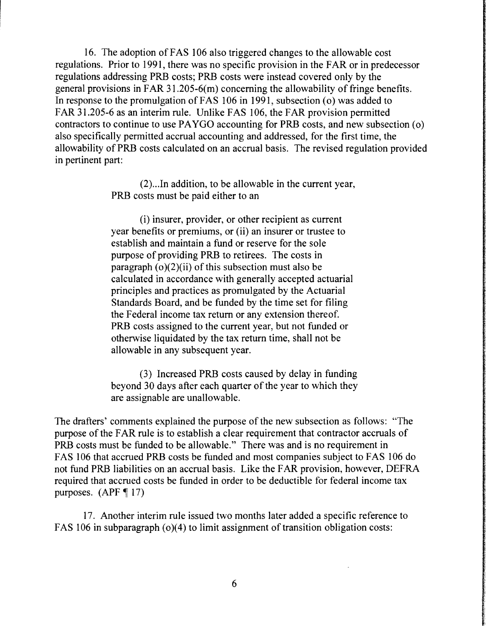16. The adoption of FAS 106 also triggered changes to the allowable cost regulations. Prior to 1991, there was no specific provision in the FAR or in predecessor regulations addressing PRB costs; PRB costs were instead covered only by the general provisions in FAR 31.205-6(m) concerning the allowability of fringe benefits. In response to the promulgation of FAS 106 in 1991, subsection (o) was added to FAR 31.205-6 as an interim rule. Unlike FAS 106, the FAR provision permitted contractors to continue to use PA YGO accounting for PRB costs, and new subsection ( o) also specifically permitted accrual accounting and addressed, for the first time, the allowability of PRB costs calculated on an accrual basis. The revised regulation provided in pertinent part:

> (2) .. .In addition, to be allowable in the current year, PRB costs must be paid either to an

(i) insurer, provider, or other recipient as current year benefits or premiums, or (ii) an insurer or trustee to establish and maintain a fund or reserve for the sole purpose of providing PRB to retirees. The costs in paragraph  $(o)(2)(ii)$  of this subsection must also be calculated in accordance with generally accepted actuarial principles and practices as promulgated by the Actuarial Standards Board, and be funded by the time set for filing the Federal income tax return or any extension thereof. PRB costs assigned to the current year, but not funded or otherwise liquidated by the tax return time, shall not be allowable in any subsequent year.

(3) Increased PRB costs caused by delay in funding beyond 30 days after each quarter of the year to which they are assignable are unallowable.

The drafters' comments explained the purpose of the new subsection as follows: "The purpose of the FAR rule is to establish a clear requirement that contractor accruals of PRB costs must be funded to be allowable." There was and is no requirement in FAS 106 that accrued PRB costs be funded and most companies subject to FAS 106 do not fund PRB liabilities on an accrual basis. Like the FAR provision, however, DEFRA required that accrued costs be funded in order to be deductible for federal income tax purposes.  $(APF \nvert 17)$ 

17. Another interim rule issued two months later added a specific reference to FAS 106 in subparagraph (o)(4) to limit assignment of transition obligation costs: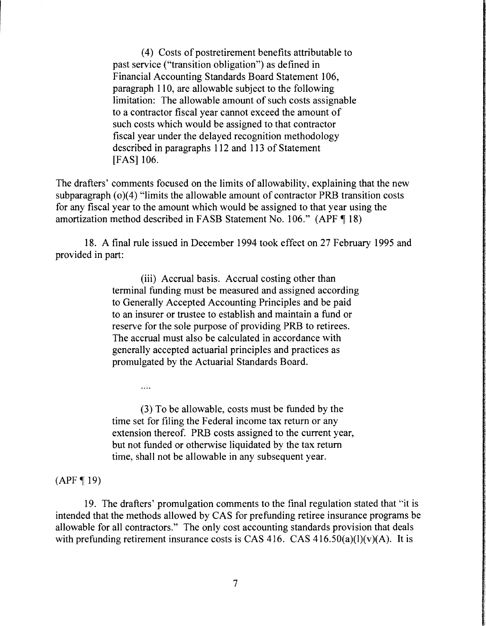( 4) Costs of postretirement benefits attributable to past service ("transition obligation") as defined in Financial Accounting Standards Board Statement 106, paragraph 110, are allowable subject to the following limitation: The allowable amount of such costs assignable to a contractor fiscal year cannot exceed the amount of such costs which would be assigned to that contractor fiscal year under the delayed recognition methodology described in paragraphs 112 and 113 of Statement [FAS] 106.

The drafters' comments focused on the limits of allowability, explaining that the new subparagraph  $(o)(4)$  "limits the allowable amount of contractor PRB transition costs for any fiscal year to the amount which would be assigned to that year using the amortization method described in FASB Statement No. 106." (APF  $\P$  18)

18. A final rule issued in December 1994 took effect on 27 February 1995 and provided in part:

> (iii) Accrual basis. Accrual costing other than terminal funding must be measured and assigned according to Generally Accepted Accounting Principles and be paid to an insurer or trustee to establish and maintain a fund or reserve for the sole purpose of providing PRB to retirees. The accrual must also be calculated in accordance with generally accepted actuarial principles and practices as promulgated by the Actuarial Standards Board.

(3) To be allowable, costs must be funded by the time set for filing the Federal income tax return or any extension thereof. PRB costs assigned to the current year, but not funded or otherwise liquidated by the tax return time, shall not be allowable in any subsequent year.

#### $(APF \, 19)$

 $\cdots$ 

19. The drafters' promulgation comments to the final regulation stated that "it is intended that the methods allowed by CAS for prefunding retiree insurance programs be allowable for all contractors." The only cost accounting standards provision that deals with prefunding retirement insurance costs is CAS 416. CAS 416.50(a)(l)(v)(A). It is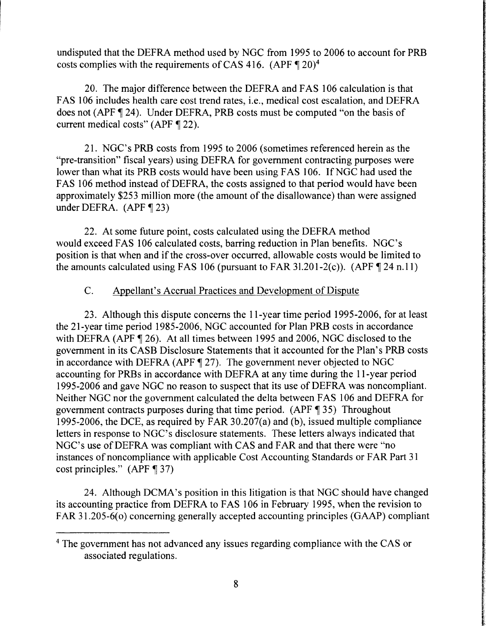undisputed that the DEFRA method used by NGC from 1995 to 2006 to account for PRB costs complies with the requirements of CAS 416. (APF  $\P$  20)<sup>4</sup>

20. The major difference between the DEFRA and FAS 106 calculation is that FAS 106 includes health care cost trend rates, i.e., medical cost escalation, and DEFRA does not (APF, 24). Under DEFRA, PRB costs must be computed "on the basis of current medical costs" (APF  $\P$  22).

21. NGC's PRB costs from 1995 to 2006 (sometimes referenced herein as the "pre-transition" fiscal years) using DEFRA for government contracting purposes were lower than what its PRB costs would have been using FAS 106. If NGC had used the FAS 106 method instead of DEFRA, the costs assigned to that period would have been approximately \$253 million more (the amount of the disallowance) than were assigned under DEFRA.  $(APF \parallel 23)$ 

22. At some future point, costs calculated using the DEFRA method would exceed FAS 106 calculated costs, barring reduction in Plan benefits. NGC's position is that when and if the cross-over occurred, allowable costs would be limited to the amounts calculated using FAS 106 (pursuant to FAR 31.201-2(c)). (APF  $\P$  24 n.11)

# C. Appellant's Accrual Practices and Development of Dispute

23. Although this dispute concerns the 11-year time period 1995-2006, for at least the 21-year time period 1985-2006, NGC accounted for Plan PRB costs in accordance with DEFRA (APF $\P$  26). At all times between 1995 and 2006, NGC disclosed to the government in its CASB Disclosure Statements that it accounted for the Plan's PRB costs in accordance with DEFRA (APF  $\P$  27). The government never objected to NGC accounting for PRBs in accordance with DEFRA at any time during the 11-year period 1995-2006 and gave NGC no reason to suspect that its use of DEFRA was noncompliant. Neither NGC nor the government calculated the delta between FAS 106 and DEFRA for government contracts purposes during that time period. (APF $\P$ 35) Throughout 1995-2006, the DCE, as required by FAR 30.207(a) and (b), issued multiple compliance letters in response to NGC's disclosure statements. These letters always indicated that NGC's use of DEFRA was compliant with CAS and FAR and that there were "no instances of noncompliance with applicable Cost Accounting Standards or FAR Part 31 cost principles."  $(APF \, 37)$ 

24. Although DCMA's position in this litigation is that NGC should have changed its accounting practice from DEFRA to FAS 106 in February 1995, when the revision to FAR 31.205-6(o) concerning generally accepted accounting principles (GAAP) compliant

<sup>&</sup>lt;sup>4</sup> The government has not advanced any issues regarding compliance with the CAS or associated regulations.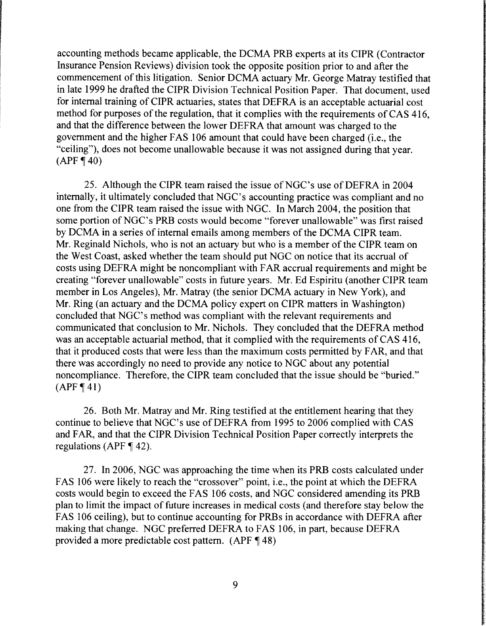accounting methods became applicable, the DCMA PRB experts at its CIPR (Contractor Insurance Pension Reviews) division took the opposite position prior to and after the commencement of this litigation. Senior DCMA actuary Mr. George Matray testified that in late 1999 he drafted the CIPR Division Technical Position Paper. That document, used for internal training of CIPR actuaries, states that DEFRA is an acceptable actuarial cost method for purposes of the regulation, that it complies with the requirements of CAS 416, and that the difference between the lower DEFRA that amount was charged to the government and the higher FAS 106 amount that could have been charged (i.e., the "ceiling"), does not become unallowable because it was not assigned during that year.  $(APF \P 40)$ 

25. Although the CIPR team raised the issue of NGC's use of DEFRA in 2004 internally, it ultimately concluded that NGC's accounting practice was compliant and no one from the CIPR team raised the issue with NGC. In March 2004, the position that some portion of NGC's PRB costs would become "forever unallowable" was first raised by DCMA in a series of internal emails among members of the DCMA CIPR team. Mr. Reginald Nichols, who is not an actuary but who is a member of the CIPR team on the West Coast, asked whether the team should put NGC on notice that its accrual of costs using DEFRA might be noncompliant with FAR accrual requirements and might be creating "forever unallowable" costs in future years. Mr. Ed Espiritu (another CIPR team member in Los Angeles), Mr. Matray (the senior DCMA actuary in New York), and Mr. Ring (an actuary and the DCMA policy expert on CIPR matters in Washington) concluded that NGC's method was compliant with the relevant requirements and communicated that conclusion to Mr. Nichols. They concluded that the DEFRA method was an acceptable actuarial method, that it complied with the requirements of CAS 416, that it produced costs that were less than the maximum costs permitted by FAR, and that there was accordingly no need to provide any notice to NGC about any potential noncompliance. Therefore, the CIPR team concluded that the issue should be "buried."  $(APF \P 41)$ 

26. Both Mr. Matray and Mr. Ring testified at the entitlement hearing that they continue to believe that NGC's use of DEFRA from 1995 to 2006 complied with CAS and FAR, and that the CIPR Division Technical Position Paper correctly interprets the regulations (APF  $\P$  42).

27. In 2006, NGC was approaching the time when its PRB costs calculated under FAS 106 were likely to reach the "crossover" point, i.e., the point at which the DEFRA costs would begin to exceed the FAS I 06 costs, and NGC considered amending its PRB plan to limit the impact of future increases in medical costs (and therefore stay below the FAS 106 ceiling), but to continue accounting for PRBs in accordance with DEFRA after making that change. NGC preferred DEFRA to FAS 106, in part, because DEFRA provided a more predictable cost pattern.  $(APF \P 48)$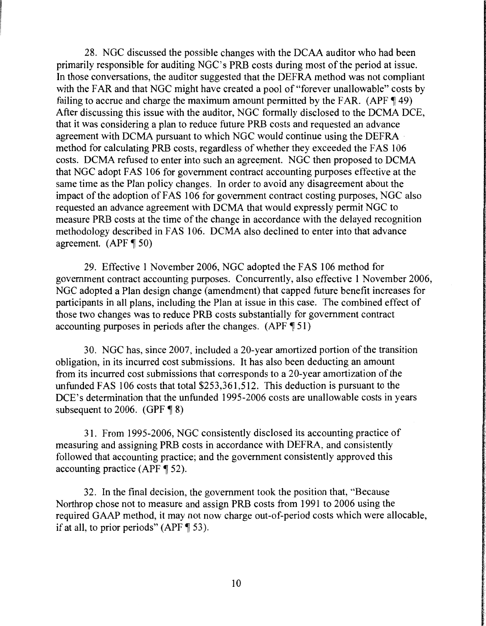28. NGC discussed the possible changes with the DCAA auditor who had been primarily responsible for auditing NGC's PRB costs during most of the period at issue. In those conversations, the auditor suggested that the DEFRA method was not compliant with the FAR and that NGC might have created a pool of "forever unallowable" costs by failing to accrue and charge the maximum amount permitted by the FAR. (APF $\P$ 49) After discussing this issue with the auditor, NGC formally disclosed to the DCMA DCE, that it was considering a plan to reduce future PRB costs and requested an advance agreement with DCMA pursuant to which NGC would continue using the DEFRA method for calculating PRB costs, regardless of whether they exceeded the FAS 106 costs. DCMA refused to enter into such an agreement. NGC then proposed to DCMA that NGC adopt FAS 106 for government contract accounting purposes effective at the same time as the Plan policy changes. In order to avoid any disagreement about the impact of the adoption of FAS 106 for government contract costing purposes, NGC also requested an advance agreement with DCMA that would expressly permit NGC to measure PRB costs at the time of the change in accordance with the delayed recognition methodology described in FAS 106. DCMA also declined to enter into that advance agreement.  $(APF \P 50)$ 

29. Effective I November 2006, NGC adopted the FAS 106 method for government contract accounting purposes. Concurrently, also effective I November 2006, NGC adopted a Plan design change (amendment) that capped future benefit increases for participants in all plans, including the Plan at issue in this case. The combined effect of those two changes was to reduce PRB costs substantially for government contract accounting purposes in periods after the changes.  $(APF \P 51)$ 

30. NGC has, since 2007, included a 20-year amortized portion of the transition obligation, in its incurred cost submissions. It has also been deducting an amount from its incurred cost submissions that corresponds to a 20-year amortization of the unfunded FAS 106 costs that total \$253,361,512. This deduction is pursuant to the DCE's determination that the unfunded 1995-2006 costs are unallowable costs in years subsequent to 2006. (GPF $\P$ 8)

31. From 1995-2006, NGC consistently disclosed its accounting practice of measuring and assigning PRB costs in accordance with DEFRA, and consistently followed that accounting practice; and the government consistently approved this accounting practice (APF $\P$  52).

32. In the final decision, the government took the position that, ·'Because Northrop chose not to measure and assign PRB costs from 1991 to 2006 using the required GAAP method, it may not now charge out-of-period costs which were allocable, if at all, to prior periods" (APF  $\P$  53).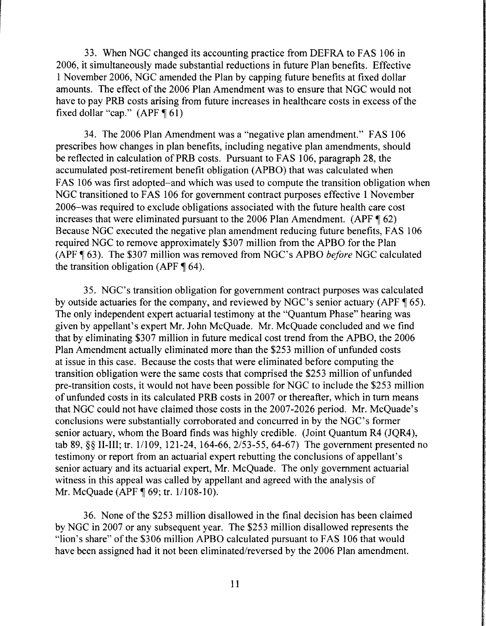33. When NGC changed its accounting practice from DEFRA to FAS 106 in 2006, it simultaneously made substantial reductions in future Plan benefits. Effective 1November2006, NGC amended the Plan by capping future benefits at fixed dollar amounts. The effect of the 2006 Plan Amendment was to ensure that NGC would not have to pay PRB costs arising from future increases in healthcare costs in excess of the fixed dollar "cap."  $(APF \P 61)$ 

34. The 2006 Plan Amendment was a "negative plan amendment." FAS 106 prescribes how changes in plan benefits, including negative plan amendments, should be reflected in calculation of PRB costs. Pursuant to FAS 106, paragraph 28, the accumulated post-retirement benefit obligation (APBO) that was calculated when FAS 106 was first adopted-and which was used to compute the transition obligation when NGC transitioned to FAS 106 for government contract purposes effective 1 November 2006-was required to exclude obligations associated with the future health care cost increases that were eliminated pursuant to the 2006 Plan Amendment. (APF $\P$ 62) Because NGC executed the negative plan amendment reducing future benefits, FAS 106 required NGC to remove approximately \$307 million from the APBO for the Plan (APF, 63). The \$307 million was removed from NGC's APBO *before* NGC calculated the transition obligation (APF  $\P$  64).

35. NGC's transition obligation for government contract purposes was calculated by outside actuaries for the company, and reviewed by NGC's senior actuary (APF $\P$ 65). The only independent expert actuarial testimony at the "Quantum Phase" hearing was given by appellant's expert Mr. John McQuade. Mr. McQuade concluded and we find that by eliminating \$307 million in future medical cost trend from the APBO, the 2006 Plan Amendment actually eliminated more than the \$253 million of unfunded costs at issue in this case. Because the costs that were eliminated before computing the transition obligation were the same costs that comprised the \$253 million of unfunded pre-transition costs, it would not have been possible for NGC to include the \$253 million of unfunded costs in its calculated PRB costs in 2007 or thereafter, which in tum means that NGC could not have claimed those costs in the 2007-2026 period. Mr. McQuade's conclusions were substantially corroborated and concurred in by the NGC's former senior actuary, whom the Board finds was highly credible. (Joint Quantum R4 (JQR4), tab 89, §§II-III; tr. 11109, 121-24, 164-66, 2/53-55, 64-67) The government presented no testimony or report from an actuarial expert rebutting the conclusions of appellant's senior actuary and its actuarial expert, Mr. McQuade. The only government actuarial witness in this appeal was called by appellant and agreed with the analysis of Mr. McQuade (APF ¶ 69; tr. 1/108-10).

36. None of the \$253 million disallowed in the final decision has been claimed by NGC in 2007 or any subsequent year. The \$253 million disallowed represents the "lion's share" of the \$306 million APBO calculated pursuant to FAS 106 that would have been assigned had it not been eliminated/reversed by the 2006 Plan amendment.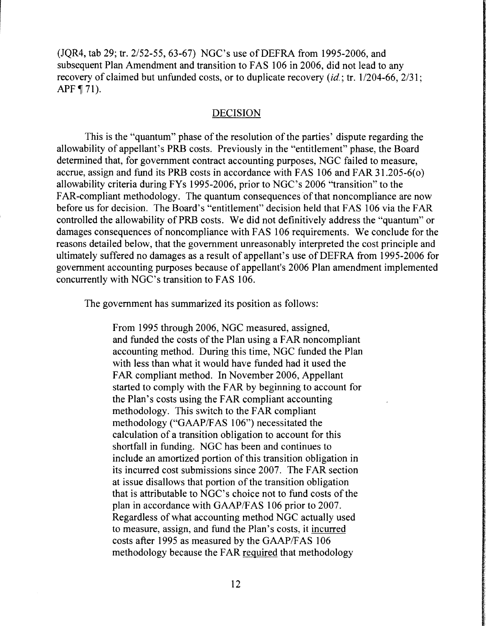(JQR4, tab 29; tr. *2152-55,* 63-67) NGC's use of DEFRA from 1995-2006, and subsequent Plan Amendment and transition to FAS 106 in 2006, did not lead to any recovery of claimed but unfunded costs, or to duplicate recovery  $(id$ ; tr.  $1/204-66$ ,  $2/31$ ; APF  $\P$  71).

#### DECISION

This is the "quantum" phase of the resolution of the parties' dispute regarding the allowability of appellant's PRB costs. Previously in the "entitlement" phase, the Board determined that, for government contract accounting purposes, NGC failed to measure, accrue, assign and fund its PRB costs in accordance with FAS 106 and FAR 31.205-6( o) allowability criteria during FYs 1995-2006, prior to NGC's 2006 "transition" to the FAR-compliant methodology. The quantum consequences of that noncompliance are now before us for decision. The Board's "entitlement" decision held that FAS 106 via the FAR controlled the allowability of PRB costs. We did not definitively address the "quantum" or damages consequences of noncompliance with FAS 106 requirements. We conclude for the reasons detailed below, that the government unreasonably interpreted the cost principle and ultimately suffered no damages as a result of appellant's use of DEFRA from 1995-2006 for government accounting purposes because of appellant's 2006 Plan amendment implemented concurrently with NGC's transition to FAS 106.

The government has summarized its position as follows:

From 1995 through 2006, NGC measured, assigned, and funded the costs of the Plan using a FAR noncompliant accounting method. During this time, NGC funded the Plan with less than what it would have funded had it used the FAR compliant method. In November 2006, Appellant started to comply with the FAR by beginning to account for the Plan's costs using the FAR compliant accounting methodology. This switch to the FAR compliant methodology ("GAAP/FAS 106") necessitated the calculation of a transition obligation to account for this shortfall in funding. NGC has been and continues to include an amortized portion of this transition obligation in its incurred cost submissions since 2007. The FAR section at issue disallows that portion of the transition obligation that is attributable to NGC's choice not to fund costs of the plan in accordance with GAAP/FAS 106 prior to 2007. Regardless of what accounting method NGC actually used to measure, assign, and fund the Plan's costs, it incurred costs after 1995 as measured by the GAAP/FAS 106 methodology because the FAR required that methodology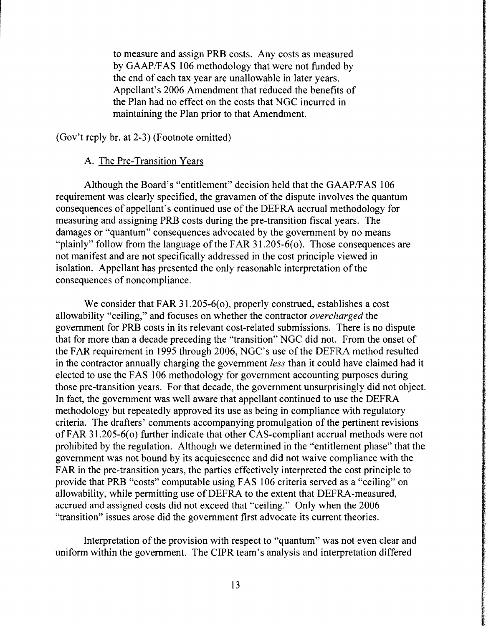to measure and assign PRB costs. Any costs as measured by GAAP/FAS 106 methodology that were not funded by the end of each tax year are unallowable in later years. Appellant's 2006 Amendment that reduced the benefits of the Plan had no effect on the costs that NGC incurred in maintaining the Plan prior to that Amendment.

(Gov't reply hr. at 2-3) (Footnote omitted)

### A. The Pre-Transition Years

Although the Board's "entitlement" decision held that the GAAP/F AS 106 requirement was clearly specified, the gravamen of the dispute involves the quantum consequences of appellant's continued use of the DEFRA accrual methodology for measuring and assigning PRB costs during the pre-transition fiscal years. The damages or "quantum" consequences advocated by the government by no means "plainly" follow from the language of the FAR  $31.205-6$  (o). Those consequences are not manifest and are not specifically addressed in the cost principle viewed in isolation. Appellant has presented the only reasonable interpretation of the consequences of noncompliance.

We consider that FAR 31.205-6( $\sigma$ ), properly construed, establishes a cost allowability "ceiling," and focuses on whether the contractor *overcharged* the government for PRB costs in its relevant cost-related submissions. There is no dispute that for more than a decade preceding the "transition" NGC did not. From the onset of the FAR requirement in 1995 through 2006, NGC's use of the DEFRA method resulted in the contractor annually charging the government *less* than it could have claimed had it elected to use the FAS I 06 methodology for government accounting purposes during those pre-transition years. For that decade, the government unsurprisingly did not object. In fact, the government was well aware that appellant continued to use the DEFRA methodology but repeatedly approved its use as being in compliance with regulatory criteria. The drafters' comments accompanying promulgation of the pertinent revisions of FAR 31.205-6( o) further indicate that other CAS-compliant accrual methods were not prohibited by the regulation. Although we determined in the "entitlement phase" that the government was not bound by its acquiescence and did not waive compliance with the FAR in the pre-transition years, the parties effectively interpreted the cost principle to provide that PRB "costs" computable using FAS 106 criteria served as a "ceiling" on allowability, while permitting use of DEFRA to the extent that DEFRA-measured, accrued and assigned costs did not exceed that "ceiling." Only when the 2006 "transition" issues arose did the government first advocate its current theories.

Interpretation of the provision with respect to "quantum" was not even clear and uniform within the government. The CIPR team's analysis and interpretation differed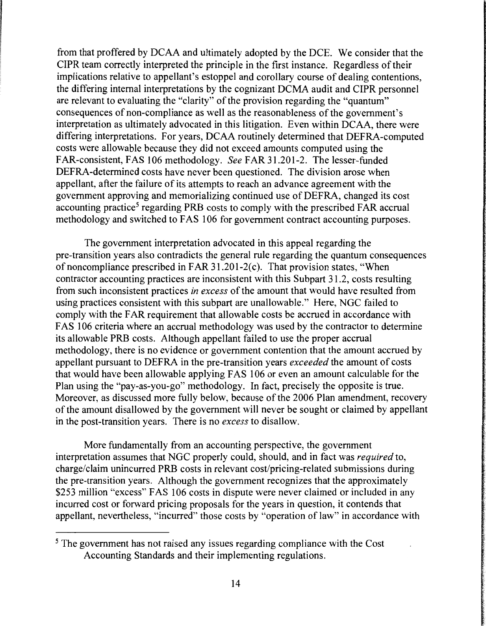from that proffered by DCAA and ultimately adopted by the DCE. We consider that the CIPR team correctly interpreted the principle in the first instance. Regardless of their implications relative to appellant's estoppel and corollary course of dealing contentions, the differing internal interpretations by the cognizant DCMA audit and CIPR personnel are relevant to evaluating the "clarity" of the provision regarding the "quantum" consequences of non-compliance as well as the reasonableness of the government's interpretation as ultimately advocated in this litigation. Even within DCAA, there were differing interpretations. For years, DCAA routinely determined that DEFRA-computed costs were allowable because they did not exceed amounts computed using the FAR-consistent, FAS 106 methodology. *See* FAR 31.201-2. The lesser-funded DEFRA-determined costs have never been questioned. The division arose when appellant, after the failure of its attempts to reach an advance agreement with the government approving and memorializing continued use of DEFRA, changed its cost accounting practice<sup>5</sup> regarding PRB costs to comply with the prescribed FAR accrual methodology and switched to FAS 106 for government contract accounting purposes.

The government interpretation advocated in this appeal regarding the pre-transition years also contradicts the general rule regarding the quantum consequences of noncompliance prescribed in FAR 31.201-2(c). That provision states, "When contractor accounting practices are inconsistent with this Subpart 31.2, costs resulting from such inconsistent practices *in excess* of the amount that would have resulted from using practices consistent with this subpart are unallowable." Here, NGC failed to comply with the FAR requirement that allowable costs be accrued in accordance with FAS 106 criteria where an accrual methodology was used by the contractor to determine its allowable PRB costs. Although appellant failed to use the proper accrual methodology, there is no evidence or government contention that the amount accrued by appellant pursuant to DEFRA in the pre-transition years *exceeded* the amount of costs that would have been allowable applying FAS 106 or even an amount calculable for the Plan using the "pay-as-you-go" methodology. In fact, precisely the opposite is true. Moreover, as discussed more fully below, because of the 2006 Plan amendment, recovery of the amount disallowed by the government will never be sought or claimed by appellant in the post-transition years. There is no *excess* to disallow.

More fundamentally from an accounting perspective, the government interpretation assumes that NGC properly could, should, and in fact was *required* to, charge/claim unincurred PRB costs in relevant cost/pricing-related submissions during the pre-transition years. Although the government recognizes that the approximately \$253 million "excess" FAS 106 costs in dispute were never claimed or included in any incurred cost or forward pricing proposals for the years in question, it contends that appellant, nevertheless, "incurred" those costs by "operation of law" in accordance with

<sup>&</sup>lt;sup>5</sup> The government has not raised any issues regarding compliance with the Cost Accounting Standards and their implementing regulations.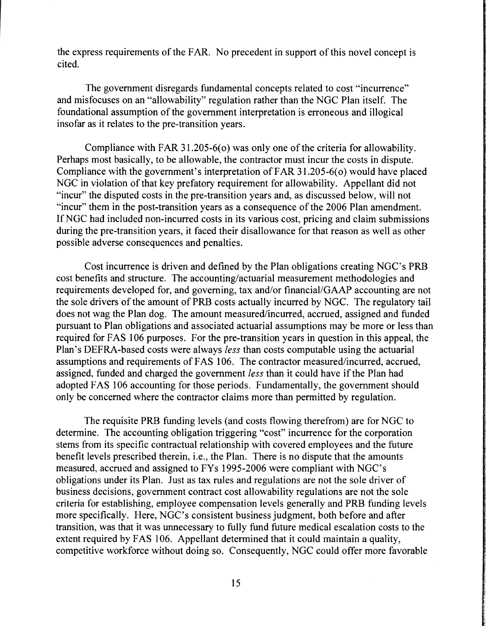the express requirements of the FAR. No precedent in support of this novel concept is cited.

The government disregards fundamental concepts related to cost "incurrence" and misfocuses on an "allowability" regulation rather than the NGC Plan itself. The foundational assumption of the government interpretation is erroneous and illogical insofar as it relates to the pre-transition years.

Compliance with FAR 31.205-6(0) was only one of the criteria for allowability. Perhaps most basically, to be allowable, the contractor must incur the costs in dispute. Compliance with the government's interpretation of FAR 31.205-6(0) would have placed NGC in violation of that key prefatory requirement for allowability. Appellant did not "incur" the disputed costs in the pre-transition years and, as discussed below, will not "incur" them in the post-transition years as a consequence of the 2006 Plan amendment. IfNGC had included non-incurred costs in its various cost, pricing and claim submissions during the pre-transition years, it faced their disallowance for that reason as well as other possible adverse consequences and penalties.

Cost incurrence is driven and defined by the Plan obligations creating NGC's PRB cost benefits and structure. The accounting/actuarial measurement methodologies and requirements developed for, and governing, tax and/or financial/GAAP accounting are not the sole drivers of the amount of PRB costs actually incurred by NGC. The regulatory tail does not wag the Plan dog. The amount measured/incurred, accrued, assigned and funded pursuant to Plan obligations and associated actuarial assumptions may be more or less than required for FAS 106 purposes. For the pre-transition years in question in this appeal, the Plan's DEFRA-based costs were always *less* than costs computable using the actuarial assumptions and requirements of FAS 106. The contractor measured/incurred, accrued, assigned, funded and charged the government *less* than it could have if the Plan had adopted FAS 106 accounting for those periods. Fundamentally, the government should only be concerned where the contractor claims more than permitted by regulation.

The requisite PRB funding levels (and costs flowing therefrom) are for NGC to determine. The accounting obligation triggering "cost" incurrence for the corporation stems from its specific contractual relationship with covered employees and the future benefit levels prescribed therein, i.e., the Plan. There is no dispute that the amounts measured, accrued and assigned to FYs 1995-2006 were compliant with NGC's obligations under its Plan. Just as tax rules and regulations are not the sole driver of business decisions, government contract cost allowability regulations are not the sole criteria for establishing, employee compensation levels generally and PRB funding levels more specifically. Here, NGC's consistent business judgment, both before and after transition, was that it was unnecessary to fully fund future medical escalation costs to the extent required by FAS 106. Appellant determined that it could maintain a quality, competitive workforce without doing so. Consequently, NGC could offer more favorable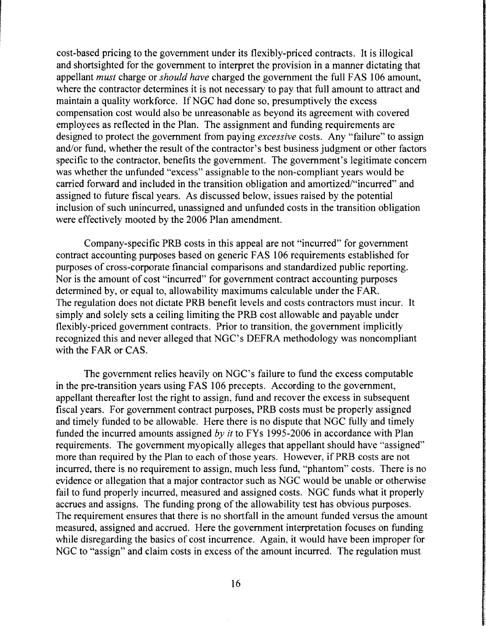cost-based pricing to the government under its flexibly-priced contracts. It is illogical and shortsighted for the government to interpret the provision in a manner dictating that appellant *must* charge or *should have* charged the government the full FAS 106 amount, where the contractor determines it is not necessary to pay that full amount to attract and maintain a quality workforce. If NGC had done so, presumptively the excess compensation cost would also be unreasonable as beyond its agreement with covered employees as reflected in the Plan. The assignment and funding requirements are designed to protect the government from paying *excessive* costs. Any "failure" to assign and/or fund, whether the result of the contractor's best business judgment or other factors specific to the contractor, benefits the government. The government's legitimate concern was whether the unfunded "excess" assignable to the non-compliant years would be carried forward and included in the transition obligation and amortized/"incurred" and assigned to future fiscal years. As discussed below, issues raised by the potential inclusion of such unincurred, unassigned and unfunded costs in the transition obligation were effectively mooted by the 2006 Plan amendment.

Company-specific PRB costs in this appeal are not "incurred" for government contract accounting purposes based on generic FAS 106 requirements established for purposes of cross-corporate financial comparisons and standardized public reporting. Nor is the amount of cost "incurred" for government contract accounting purposes determined by, or equal to, allowability maximums calculable under the FAR. The regulation does not dictate PRB benefit levels and costs contractors must incur. It simply and solely sets a ceiling limiting the PRB cost allowable and payable under flexibly-priced government contracts. Prior to transition, the government implicitly recognized this and never alleged that NGC's DEFRA methodology was noncompliant with the FAR or CAS.

The government relies heavily on NGC's failure to fund the excess computable in the pre-transition years using FAS 106 precepts. According to the government, appellant thereafter lost the right to assign, fund and recover the excess in subsequent fiscal years. For government contract purposes, PRB costs must be properly assigned and timely funded to be allowable. Here there is no dispute that NGC fully and timely funded the incurred amounts assigned by it to FYs 1995-2006 in accordance with Plan requirements. The government myopically alleges that appellant should have "assigned" more than required by the Plan to each of those years. However, if PRB costs are not incurred, there is no requirement to assign, much less fund, "phantom" costs. There is no evidence or allegation that a major contractor such as NGC would be unable or otherwise fail to fund properly incurred, measured and assigned costs. NGC funds what it properly accrues and assigns. The funding prong of the allowability test has obvious purposes. The requirement ensures that there is no shortfall in the amount funded versus the amount measured, assigned and accrued. Here the government interpretation focuses on funding while disregarding the basics of cost incurrence. Again, it would have been improper for NGC to "assign" and claim costs in excess of the amount incurred. The regulation must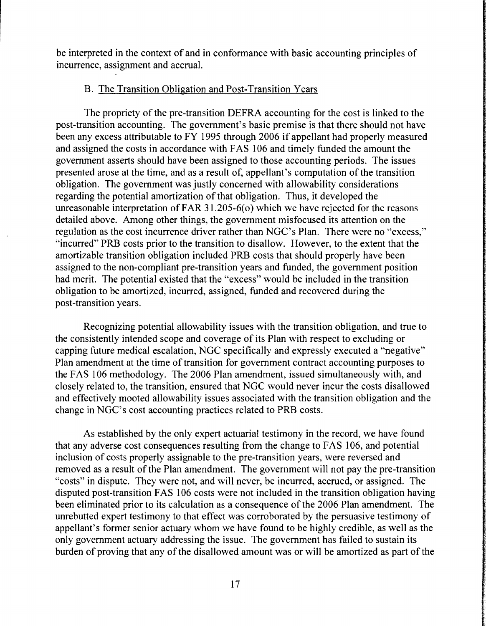be interpreted in the context of and in conformance with basic accounting principles of incurrence, assignment and accrual.

### B. The Transition Obligation and Post-Transition Years

The propriety of the pre-transition DEFRA accounting for the cost is linked to the post-transition accounting. The government's basic premise is that there should not have been any excess attributable to FY 1995 through 2006 if appellant had properly measured and assigned the costs in accordance with FAS 106 and timely funded the amount the government asserts should have been assigned to those accounting periods. The issues presented arose at the time, and as a result of, appellant's computation of the transition obligation. The government was justly concerned with allowability considerations regarding the potential amortization of that obligation. Thus, it developed the unreasonable interpretation of FAR 31.205-6(o) which we have rejected for the reasons detailed above. Among other things, the government misfocused its attention on the regulation as the cost incurrence driver rather than NGC's Plan. There were no "excess," "incurred" PRB costs prior to the transition to disallow. However, to the extent that the amortizable transition obligation included PRB costs that should properly have been assigned to the non-compliant pre-transition years and funded, the government position had merit. The potential existed that the "excess" would be included in the transition obligation to be amortized, incurred, assigned, funded and recovered during the post-transition years.

Recognizing potential allowability issues with the transition obligation, and true to the consistently intended scope and coverage of its Plan with respect to excluding or capping future medical escalation, NOC specifically and expressly executed a "negative" Plan amendment at the time of transition for government contract accounting purposes to the FAS 106 methodology. The 2006 Plan amendment, issued simultaneously with, and closely related to, the transition, ensured that NOC would never incur the costs disallowed and effectively mooted allowability issues associated with the transition obligation and the change in NOC's cost accounting practices related to PRB costs.

As established by the only expert actuarial testimony in the record, we have found that any adverse cost consequences resulting from the change to FAS 106, and potential inclusion of costs properly assignable to the pre-transition years, were reversed and removed as a result of the Plan amendment. The government will not pay the pre-transition "costs" in dispute. They were not, and will never, be incurred, accrued, or assigned. The disputed post-transition FAS 106 costs were not included in the transition obligation having been eliminated prior to its calculation as a consequence of the 2006 Plan amendment. The unrebutted expert testimony to that effect was corroborated by the persuasive testimony of appellant's former senior actuary whom we have found to be highly credible, as well as the only government actuary addressing the issue. The government has failed to sustain its burden of proving that any of the disallowed amount was or will be amortized as part of the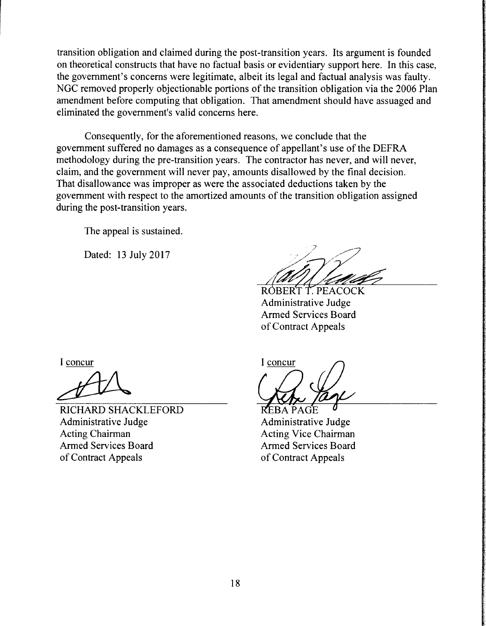transition obligation and claimed during the post-transition years. Its argument is founded on theoretical constructs that have no factual basis or evidentiary support here. In this case, the government's concerns were legitimate, albeit its legal and factual analysis was faulty. NGC removed properly objectionable portions of the transition obligation via the 2006 Plan amendment before computing that obligation. That amendment should have assuaged and eliminated the government's valid concerns here.

Consequently, for the aforementioned reasons, we conclude that the government suffered no damages as a consequence of appellant's use of the DEFRA methodology during the pre-transition years. The contractor has never, and will never, claim, and the government will never pay, amounts disallowed by the final decision. That disallowance was improper as were the associated deductions taken by the government with respect to the amortized amounts of the transition obligation assigned during the post-transition years.

The appeal is sustained.

Dated: 13 July 2017

ROBERT T. PEACOCK Administrative Judge Armed Services Board of Contract Appeals

I concur

RICHARD SHACKLEFORD Administrative Judge Acting Chairman Armed Services Board of Contract Appeals

I concur

REBA PAGE Administrative Judge Acting Vice Chairman Armed Services Board of Contract Appeals